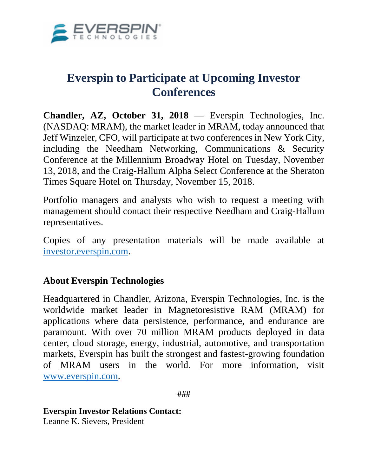

## **Everspin to Participate at Upcoming Investor Conferences**

**Chandler, AZ, October 31, 2018** — Everspin Technologies, Inc. (NASDAQ: MRAM), the market leader in MRAM, today announced that Jeff Winzeler, CFO, will participate at two conferences in New York City, including the Needham Networking, Communications & Security Conference at the Millennium Broadway Hotel on Tuesday, November 13, 2018, and the Craig-Hallum Alpha Select Conference at the Sheraton Times Square Hotel on Thursday, November 15, 2018.

Portfolio managers and analysts who wish to request a meeting with management should contact their respective Needham and Craig-Hallum representatives.

Copies of any presentation materials will be made available at [investor.everspin.com.](http://investor.everspin.com/)

## **About Everspin Technologies**

Headquartered in Chandler, Arizona, Everspin Technologies, Inc. is the worldwide market leader in Magnetoresistive RAM (MRAM) for applications where data persistence, performance, and endurance are paramount. With over 70 million MRAM products deployed in data center, cloud storage, energy, industrial, automotive, and transportation markets, Everspin has built the strongest and fastest-growing foundation of MRAM users in the world. For more information, visit [www.everspin.com.](http://pro.ccs.gcs.nadq.pub/redirect/MjAxODA4MjRiNGJjNmZiMC1kZGE2LTQ4MTAtYTc0Ny04NWQ1ZWJiOWI4MWYtRTFBfHNoZWx0b25pckBzaGVsdG9uZ3JvdXAuY29t/?url=aHR0cHM6Ly93d3cuZ2xvYmVuZXdzd2lyZS5jb20vVHJhY2tlcj9kYXRhPTNjcTlPWEJYRVVGZVhjZEtxdjlYd0xNMW1PV0k5ZWJCcTRMRElfa2c5RU9mZFNSRWRzcU5fcVJlb1hELVZ5ZEZqUzZxalZJT0kyb1lSV0psc0JFbjd3PT0=)

**###**

**Everspin Investor Relations Contact:**  Leanne K. Sievers, President